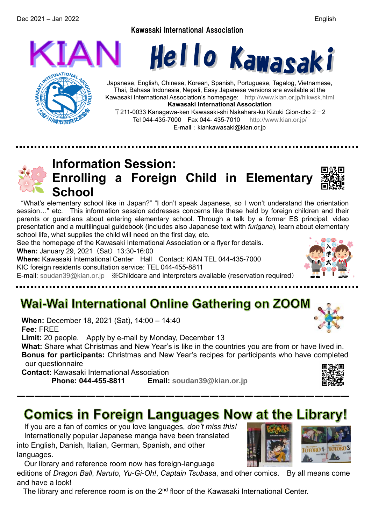Dec 2021 – Jan 2022 English

Kawasaki International Association







Japanese, English, Chinese, Korean, Spanish, Portuguese, Tagalog, Vietnamese, Thai, Bahasa Indonesia, Nepali, Easy Japanese versions are available at the Kawasaki International Association's homepage: <http://www.kian.or.jp/hlkwsk.html> **Kawasaki International Association**

 $\overline{T}$ 211-0033 Kanagawa-ken Kawasaki-shi Nakahara-ku Kizuki Gion-cho 2 $-2$ Tel 044-435-7000 Fax 044- 435-7010 <http://www.kian.or.jp/> E-mail: kiankawasaki@kian.or.jp

## **Information Session: Enrolling a Foreign Child in Elementary School**

"What's elementary school like in Japan?" "I don't speak Japanese, so I won't understand the orientation session…" etc. This information session addresses concerns like these held by foreign children and their parents or guardians about entering elementary school. Through a talk by a former ES principal, video presentation and a multilingual guidebook (includes also Japanese text with *furigana*), learn about elementary school life, what supplies the child will need on the first day, etc.

See the homepage of the Kawasaki International Association or a flyer for details.

**When:** January 29, 2021 (Sat) 13:30-16:00

**Where:** Kawasaki International Center Hall Contact: KIAN TEL 044-435-7000 KIC foreign residents consultation service: TEL 044-455-8811

E-mail: [soudan39@kian.or.jp](mailto:soudan39@kian.or.jp) ※Childcare and interpreters available (reservation required)

## Wai-Wai International Online Gathering on ZOOM

**When:** December 18, 2021 (Sat), 14:00 – 14:40 **Fee:** FREE

**Limit:** 20 people. Apply by e-mail by Monday, December 13

**What:** Share what Christmas and New Year's is like in the countries you are from or have lived in. **Bonus for participants:** Christmas and New Year's recipes for participants who have completed our questionnaire

**Contact:** Kawasaki International Association

**Phone: 044-455-8811 Email: [soudan39@kian.or.jp](mailto:soudan39@kian.or.jp)**

# **Comics in Foreign Languages Now at the Library!**

――――――――――――――――――――――――――――――――――――――

If you are a fan of comics or you love languages, *don't miss this!*  Internationally popular Japanese manga have been translated into English, Danish, Italian, German, Spanish, and other languages.

Our library and reference room now has foreign-language editions of *Dragon Ball*, *Naruto*, *Yu-Gi-Oh!*, *Captain Tsubasa*, and other comics. By all means come and have a look!

The library and reference room is on the 2<sup>nd</sup> floor of the Kawasaki International Center.